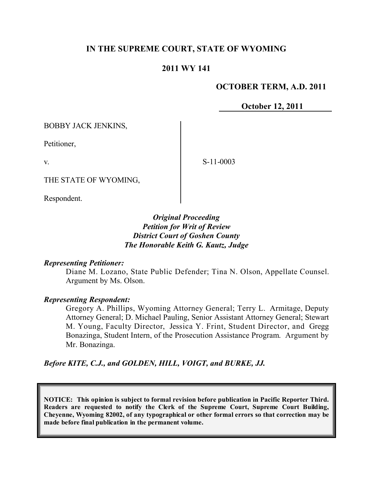# **IN THE SUPREME COURT, STATE OF WYOMING**

# **2011 WY 141**

### **OCTOBER TERM, A.D. 2011**

**October 12, 2011**

BOBBY JACK JENKINS,

Petitioner,

v.

S-11-0003

THE STATE OF WYOMING,

Respondent.

# *Original Proceeding Petition for Writ of Review District Court of Goshen County The Honorable Keith G. Kautz, Judge*

#### *Representing Petitioner:*

Diane M. Lozano, State Public Defender; Tina N. Olson, Appellate Counsel. Argument by Ms. Olson.

#### *Representing Respondent:*

Gregory A. Phillips, Wyoming Attorney General; Terry L. Armitage, Deputy Attorney General; D. Michael Pauling, Senior Assistant Attorney General; Stewart M. Young, Faculty Director, Jessica Y. Frint, Student Director, and Gregg Bonazinga, Student Intern, of the Prosecution Assistance Program. Argument by Mr. Bonazinga.

*Before KITE, C.J., and GOLDEN, HILL, VOIGT, and BURKE, JJ.*

**NOTICE: This opinion is subject to formal revision before publication in Pacific Reporter Third. Readers are requested to notify the Clerk of the Supreme Court, Supreme Court Building, Cheyenne, Wyoming 82002, of any typographical or other formal errors so that correction may be made before final publication in the permanent volume.**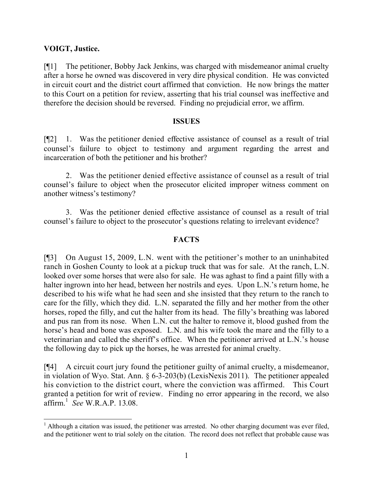# **VOIGT, Justice.**

[¶1] The petitioner, Bobby Jack Jenkins, was charged with misdemeanor animal cruelty after a horse he owned was discovered in very dire physical condition. He was convicted in circuit court and the district court affirmed that conviction. He now brings the matter to this Court on a petition for review, asserting that his trial counsel was ineffective and therefore the decision should be reversed. Finding no prejudicial error, we affirm.

#### **ISSUES**

[¶2] 1. Was the petitioner denied effective assistance of counsel as a result of trial counsel's failure to object to testimony and argument regarding the arrest and incarceration of both the petitioner and his brother?

2. Was the petitioner denied effective assistance of counsel as a result of trial counsel's failure to object when the prosecutor elicited improper witness comment on another witness's testimony?

3. Was the petitioner denied effective assistance of counsel as a result of trial counsel's failure to object to the prosecutor's questions relating to irrelevant evidence?

### **FACTS**

[¶3] On August 15, 2009, L.N. went with the petitioner's mother to an uninhabited ranch in Goshen County to look at a pickup truck that was for sale. At the ranch, L.N. looked over some horses that were also for sale. He was aghast to find a paint filly with a halter ingrown into her head, between her nostrils and eyes. Upon L.N.'s return home, he described to his wife what he had seen and she insisted that they return to the ranch to care for the filly, which they did. L.N. separated the filly and her mother from the other horses, roped the filly, and cut the halter from its head. The filly's breathing was labored and pus ran from its nose. When L.N. cut the halter to remove it, blood gushed from the horse's head and bone was exposed. L.N. and his wife took the mare and the filly to a veterinarian and called the sheriff's office. When the petitioner arrived at L.N.'s house the following day to pick up the horses, he was arrested for animal cruelty.

[¶4] A circuit court jury found the petitioner guilty of animal cruelty, a misdemeanor, in violation of Wyo. Stat. Ann. § 6-3-203(b) (LexisNexis 2011). The petitioner appealed his conviction to the district court, where the conviction was affirmed. This Court granted a petition for writ of review. Finding no error appearing in the record, we also affirm.<sup>1</sup> *See* W.R.A.P. 13.08.

  $1$  Although a citation was issued, the petitioner was arrested. No other charging document was ever filed, and the petitioner went to trial solely on the citation. The record does not reflect that probable cause was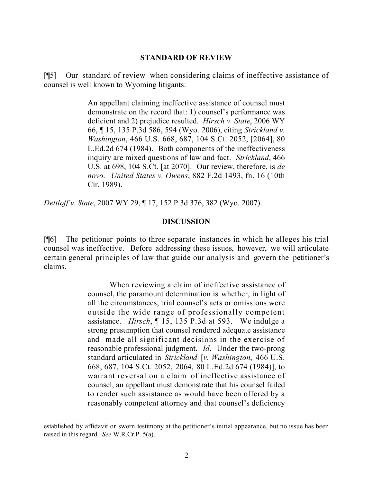#### **STANDARD OF REVIEW**

[¶5] Our standard of review when considering claims of ineffective assistance of counsel is well known to Wyoming litigants:

> An appellant claiming ineffective assistance of counsel must demonstrate on the record that: 1) counsel's performance was deficient and 2) prejudice resulted. *Hirsch v. State*, 2006 WY 66, ¶ 15, 135 P.3d 586, 594 (Wyo. 2006), citing *Strickland v. Washington*, 466 U.S. 668, 687, 104 S.Ct. 2052, [2064], 80 L.Ed.2d 674 (1984). Both components of the ineffectiveness inquiry are mixed questions of law and fact. *Strickland*, 466 U.S. at 698, 104 S.Ct. [at 2070]. Our review, therefore, is *de novo*. *United States v. Owens*, 882 F.2d 1493, fn. 16 (10th Cir. 1989).

*Dettloff v. State*, 2007 WY 29, ¶ 17, 152 P.3d 376, 382 (Wyo. 2007).

#### **DISCUSSION**

[¶6] The petitioner points to three separate instances in which he alleges his trial counsel was ineffective. Before addressing these issues, however, we will articulate certain general principles of law that guide our analysis and govern the petitioner's claims.

> When reviewing a claim of ineffective assistance of counsel, the paramount determination is whether, in light of all the circumstances, trial counsel's acts or omissions were outside the wide range of professionally competent assistance. *Hirsch*, ¶ 15, 135 P.3d at 593. We indulge a strong presumption that counsel rendered adequate assistance and made all significant decisions in the exercise of reasonable professional judgment. *Id*. Under the two-prong standard articulated in *Strickland* [*v. Washington*, 466 U.S. 668, 687, 104 S.Ct. 2052, 2064, 80 L.Ed.2d 674 (1984)], to warrant reversal on a claim of ineffective assistance of counsel, an appellant must demonstrate that his counsel failed to render such assistance as would have been offered by a reasonably competent attorney and that counsel's deficiency

established by affidavit or sworn testimony at the petitioner's initial appearance, but no issue has been raised in this regard. *See* W.R.Cr.P. 5(a).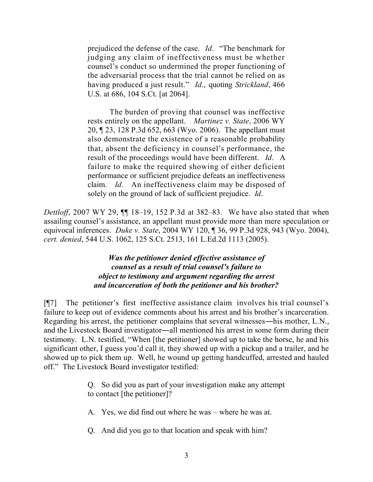prejudiced the defense of the case. *Id*. "The benchmark for judging any claim of ineffectiveness must be whether counsel's conduct so undermined the proper functioning of the adversarial process that the trial cannot be relied on as having produced a just result." *Id*., quoting *Strickland*, 466 U.S. at 686, 104 S.Ct. [at 2064].

The burden of proving that counsel was ineffective rests entirely on the appellant. *Martinez v. State*, 2006 WY 20, ¶ 23, 128 P.3d 652, 663 (Wyo. 2006). The appellant must also demonstrate the existence of a reasonable probability that, absent the deficiency in counsel's performance, the result of the proceedings would have been different. *Id*. A failure to make the required showing of either deficient performance or sufficient prejudice defeats an ineffectiveness claim. *Id*. An ineffectiveness claim may be disposed of solely on the ground of lack of sufficient prejudice. *Id*.

*Dettloff*, 2007 WY 29, ¶¶ 18–19, 152 P.3d at 382–83. We have also stated that when assailing counsel's assistance, an appellant must provide more than mere speculation or equivocal inferences. *Duke v. State*, 2004 WY 120, ¶ 36, 99 P.3d 928, 943 (Wyo. 2004), *cert. denied*, 544 U.S. 1062, 125 S.Ct. 2513, 161 L.Ed.2d 1113 (2005).

# *Was the petitioner denied effective assistance of counsel as a result of trial counsel's failure to object to testimony and argument regarding the arrest and incarceration of both the petitioner and his brother?*

[¶7] The petitioner's first ineffective assistance claim involves his trial counsel's failure to keep out of evidence comments about his arrest and his brother's incarceration. Regarding his arrest, the petitioner complains that several witnesses―his mother, L.N., and the Livestock Board investigator―all mentioned his arrest in some form during their testimony. L.N. testified, "When [the petitioner] showed up to take the horse, he and his significant other, I guess you'd call it, they showed up with a pickup and a trailer, and he showed up to pick them up. Well, he wound up getting handcuffed, arrested and hauled off." The Livestock Board investigator testified:

- Q. So did you as part of your investigation make any attempt to contact [the petitioner]?
- A. Yes, we did find out where he was where he was at.
- Q. And did you go to that location and speak with him?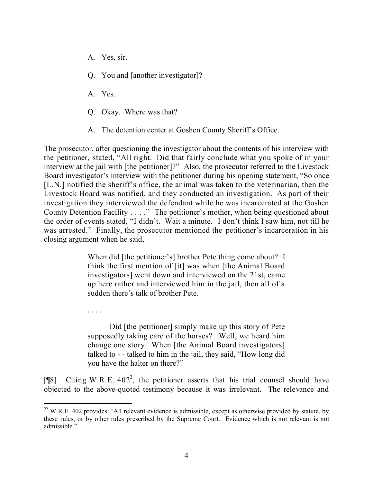- A. Yes, sir.
- Q. You and [another investigator]?
- A. Yes.

. . . .

- Q. Okay. Where was that?
- A. The detention center at Goshen County Sheriff's Office.

The prosecutor, after questioning the investigator about the contents of his interview with the petitioner, stated, "All right. Did that fairly conclude what you spoke of in your interview at the jail with [the petitioner]?" Also, the prosecutor referred to the Livestock Board investigator's interview with the petitioner during his opening statement, "So once [L.N.] notified the sheriff's office, the animal was taken to the veterinarian, then the Livestock Board was notified, and they conducted an investigation. As part of their investigation they interviewed the defendant while he was incarcerated at the Goshen County Detention Facility . . . ." The petitioner's mother, when being questioned about the order of events stated, "I didn't. Wait a minute. I don't think I saw him, not till he was arrested." Finally, the prosecutor mentioned the petitioner's incarceration in his closing argument when he said,

> When did [the petitioner's] brother Pete thing come about? I think the first mention of [it] was when [the Animal Board investigators] went down and interviewed on the 21st, came up here rather and interviewed him in the jail, then all of a sudden there's talk of brother Pete.

> Did [the petitioner] simply make up this story of Pete supposedly taking care of the horses? Well, we heard him change one story. When [the Animal Board investigators] talked to - - talked to him in the jail, they said, "How long did you have the halter on there?"

[ $[$ [8] Citing W.R.E. 402<sup>2</sup>, the petitioner asserts that his trial counsel should have objected to the above-quoted testimony because it was irrelevant. The relevance and

 $22$  W.R.E. 402 provides: "All relevant evidence is admissible, except as otherwise provided by statute, by these rules, or by other rules prescribed by the Supreme Court. Evidence which is not relevant is not admissible."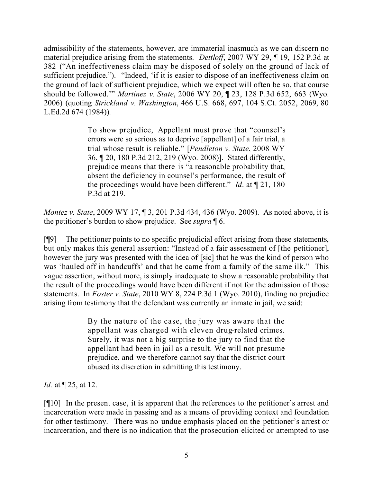admissibility of the statements, however, are immaterial inasmuch as we can discern no material prejudice arising from the statements. *Dettloff*, 2007 WY 29, ¶ 19, 152 P.3d at 382 ("An ineffectiveness claim may be disposed of solely on the ground of lack of sufficient prejudice."). "Indeed, 'if it is easier to dispose of an ineffectiveness claim on the ground of lack of sufficient prejudice, which we expect will often be so, that course should be followed.'" *Martinez v. State*, 2006 WY 20, ¶ 23, 128 P.3d 652, 663 (Wyo. 2006) (quoting *Strickland v. Washington*, 466 U.S. 668, 697, 104 S.Ct. 2052, 2069, 80 L.Ed.2d 674 (1984)).

> To show prejudice, Appellant must prove that "counsel's errors were so serious as to deprive [appellant] of a fair trial, a trial whose result is reliable." [*Pendleton v. State*, 2008 WY 36, ¶ 20, 180 P.3d 212, 219 (Wyo. 2008)]. Stated differently, prejudice means that there is "a reasonable probability that, absent the deficiency in counsel's performance, the result of the proceedings would have been different." *Id*. at ¶ 21, 180 P.3d at 219.

*Montez v. State*, 2009 WY 17, ¶ 3, 201 P.3d 434, 436 (Wyo. 2009). As noted above, it is the petitioner's burden to show prejudice. See *supra* ¶ 6.

[¶9] The petitioner points to no specific prejudicial effect arising from these statements, but only makes this general assertion: "Instead of a fair assessment of [the petitioner], however the jury was presented with the idea of [sic] that he was the kind of person who was 'hauled off in handcuffs' and that he came from a family of the same ilk." This vague assertion, without more, is simply inadequate to show a reasonable probability that the result of the proceedings would have been different if not for the admission of those statements. In *Foster v. State*, 2010 WY 8, 224 P.3d 1 (Wyo. 2010), finding no prejudice arising from testimony that the defendant was currently an inmate in jail, we said:

> By the nature of the case, the jury was aware that the appellant was charged with eleven drug-related crimes. Surely, it was not a big surprise to the jury to find that the appellant had been in jail as a result. We will not presume prejudice, and we therefore cannot say that the district court abused its discretion in admitting this testimony.

*Id.* at ¶ 25, at 12.

[¶10] In the present case, it is apparent that the references to the petitioner's arrest and incarceration were made in passing and as a means of providing context and foundation for other testimony. There was no undue emphasis placed on the petitioner's arrest or incarceration, and there is no indication that the prosecution elicited or attempted to use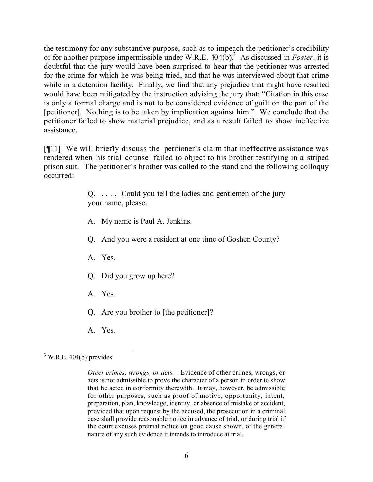the testimony for any substantive purpose, such as to impeach the petitioner's credibility or for another purpose impermissible under W.R.E. 404(b). <sup>3</sup> As discussed in *Foster*, it is doubtful that the jury would have been surprised to hear that the petitioner was arrested for the crime for which he was being tried, and that he was interviewed about that crime while in a detention facility. Finally, we find that any prejudice that might have resulted would have been mitigated by the instruction advising the jury that: "Citation in this case is only a formal charge and is not to be considered evidence of guilt on the part of the [petitioner]. Nothing is to be taken by implication against him." We conclude that the petitioner failed to show material prejudice, and as a result failed to show ineffective assistance.

[¶11] We will briefly discuss the petitioner's claim that ineffective assistance was rendered when his trial counsel failed to object to his brother testifying in a striped prison suit. The petitioner's brother was called to the stand and the following colloquy occurred:

> Q. . . . . Could you tell the ladies and gentlemen of the jury your name, please.

- A. My name is Paul A. Jenkins.
- Q. And you were a resident at one time of Goshen County?
- A. Yes.
- Q. Did you grow up here?
- A. Yes.
- Q. Are you brother to [the petitioner]?
- A. Yes.

  $3$  W.R.E. 404(b) provides:

*Other crimes, wrongs, or acts*.—Evidence of other crimes, wrongs, or acts is not admissible to prove the character of a person in order to show that he acted in conformity therewith. It may, however, be admissible for other purposes, such as proof of motive, opportunity, intent, preparation, plan, knowledge, identity, or absence of mistake or accident, provided that upon request by the accused, the prosecution in a criminal case shall provide reasonable notice in advance of trial, or during trial if the court excuses pretrial notice on good cause shown, of the general nature of any such evidence it intends to introduce at trial.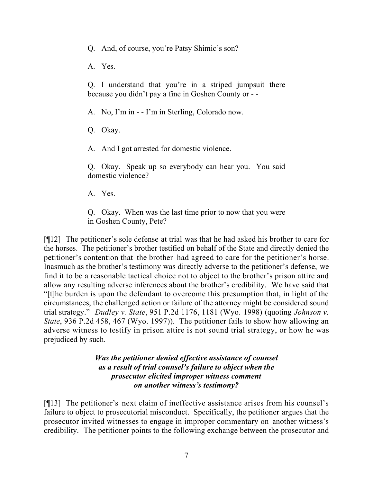Q. And, of course, you're Patsy Shimic's son?

A. Yes.

Q. I understand that you're in a striped jumpsuit there because you didn't pay a fine in Goshen County or - -

A. No, I'm in - - I'm in Sterling, Colorado now.

Q. Okay.

A. And I got arrested for domestic violence.

Q. Okay. Speak up so everybody can hear you. You said domestic violence?

A. Yes.

Q. Okay. When was the last time prior to now that you were in Goshen County, Pete?

[¶12] The petitioner's sole defense at trial was that he had asked his brother to care for the horses. The petitioner's brother testified on behalf of the State and directly denied the petitioner's contention that the brother had agreed to care for the petitioner's horse. Inasmuch as the brother's testimony was directly adverse to the petitioner's defense, we find it to be a reasonable tactical choice not to object to the brother's prison attire and allow any resulting adverse inferences about the brother's credibility. We have said that "[t]he burden is upon the defendant to overcome this presumption that, in light of the circumstances, the challenged action or failure of the attorney might be considered sound trial strategy." *Dudley v. State*, 951 P.2d 1176, 1181 (Wyo. 1998) (quoting *Johnson v. State*, 936 P.2d 458, 467 (Wyo. 1997)). The petitioner fails to show how allowing an adverse witness to testify in prison attire is not sound trial strategy, or how he was prejudiced by such.

> *Was the petitioner denied effective assistance of counsel as a result of trial counsel's failure to object when the prosecutor elicited improper witness comment on another witness's testimony?*

[¶13] The petitioner's next claim of ineffective assistance arises from his counsel's failure to object to prosecutorial misconduct. Specifically, the petitioner argues that the prosecutor invited witnesses to engage in improper commentary on another witness's credibility. The petitioner points to the following exchange between the prosecutor and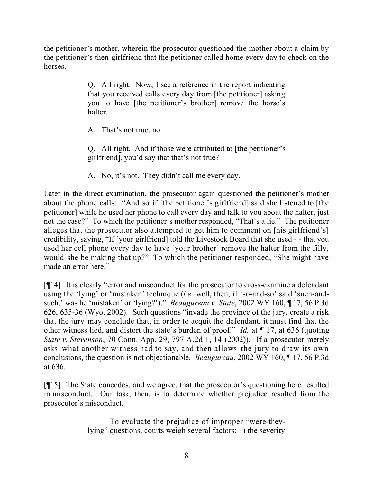the petitioner's mother, wherein the prosecutor questioned the mother about a claim by the petitioner's then-girlfriend that the petitioner called home every day to check on the horses.

> Q. All right. Now, I see a reference in the report indicating that you received calls every day from [the petitioner] asking you to have [the petitioner's brother] remove the horse's halter.

A. That's not true, no.

Q. All right. And if those were attributed to [the petitioner's girlfriend], you'd say that that's not true?

A. No, it's not. They didn't call me every day.

Later in the direct examination, the prosecutor again questioned the petitioner's mother about the phone calls: "And so if [the petitioner's girlfriend] said she listened to [the petitioner] while he used her phone to call every day and talk to you about the halter, just not the case?" To which the petitioner's mother responded, "That's a lie." The petitioner alleges that the prosecutor also attempted to get him to comment on [his girlfriend's] credibility, saying, "If [your girlfriend] told the Livestock Board that she used - - that you used her cell phone every day to have [your brother] remove the halter from the filly, would she be making that up?" To which the petitioner responded, "She might have made an error here."

[¶14] It is clearly "error and misconduct for the prosecutor to cross-examine a defendant using the 'lying' or 'mistaken' technique (*i.e.* well, then, if 'so-and-so' said 'such-andsuch,' was he 'mistaken' or 'lying?')." *Beaugureau v. State*, 2002 WY 160, ¶ 17, 56 P.3d 626, 635-36 (Wyo. 2002). Such questions "invade the province of the jury, create a risk that the jury may conclude that, in order to acquit the defendant, it must find that the other witness lied, and distort the state's burden of proof." *Id.* at ¶ 17, at 636 (quoting *State v. Stevenson*, 70 Conn. App. 29, 797 A.2d 1, 14 (2002)). If a prosecutor merely asks what another witness had to say, and then allows the jury to draw its own conclusions, the question is not objectionable. *Beaugureau*, 2002 WY 160, ¶ 17, 56 P.3d at 636.

[¶15] The State concedes, and we agree, that the prosecutor's questioning here resulted in misconduct. Our task, then, is to determine whether prejudice resulted from the prosecutor's misconduct.

> To evaluate the prejudice of improper "were-theylying" questions, courts weigh several factors: 1) the severity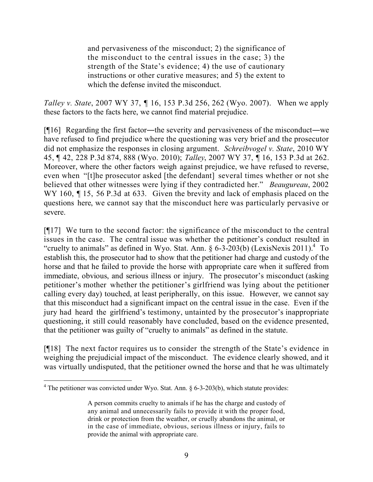and pervasiveness of the misconduct; 2) the significance of the misconduct to the central issues in the case; 3) the strength of the State's evidence; 4) the use of cautionary instructions or other curative measures; and 5) the extent to which the defense invited the misconduct.

*Talley v. State*, 2007 WY 37, ¶ 16, 153 P.3d 256, 262 (Wyo. 2007). When we apply these factors to the facts here, we cannot find material prejudice.

[¶16] Regarding the first factor―the severity and pervasiveness of the misconduct―we have refused to find prejudice where the questioning was very brief and the prosecutor did not emphasize the responses in closing argument. *Schreibvogel v. State*, 2010 WY 45, ¶ 42, 228 P.3d 874, 888 (Wyo. 2010); *Talley*, 2007 WY 37, ¶ 16, 153 P.3d at 262. Moreover, where the other factors weigh against prejudice, we have refused to reverse, even when "[t]he prosecutor asked [the defendant] several times whether or not she believed that other witnesses were lying if they contradicted her." *Beaugureau*, 2002 WY 160,  $\parallel$  15, 56 P.3d at 633. Given the brevity and lack of emphasis placed on the questions here, we cannot say that the misconduct here was particularly pervasive or severe.

[¶17] We turn to the second factor: the significance of the misconduct to the central issues in the case. The central issue was whether the petitioner's conduct resulted in "cruelty to animals" as defined in Wyo. Stat. Ann.  $\S 6-3-203(b)$  (LexisNexis 2011).<sup>4</sup> To establish this, the prosecutor had to show that the petitioner had charge and custody of the horse and that he failed to provide the horse with appropriate care when it suffered from immediate, obvious, and serious illness or injury. The prosecutor's misconduct (asking petitioner's mother whether the petitioner's girlfriend was lying about the petitioner calling every day) touched, at least peripherally, on this issue. However, we cannot say that this misconduct had a significant impact on the central issue in the case. Even if the jury had heard the girlfriend's testimony, untainted by the prosecutor's inappropriate questioning, it still could reasonably have concluded, based on the evidence presented, that the petitioner was guilty of "cruelty to animals" as defined in the statute.

[¶18] The next factor requires us to consider the strength of the State's evidence in weighing the prejudicial impact of the misconduct. The evidence clearly showed, and it was virtually undisputed, that the petitioner owned the horse and that he was ultimately

 $4$  The petitioner was convicted under Wyo. Stat. Ann. § 6-3-203(b), which statute provides:

A person commits cruelty to animals if he has the charge and custody of any animal and unnecessarily fails to provide it with the proper food, drink or protection from the weather, or cruelly abandons the animal, or in the case of immediate, obvious, serious illness or injury, fails to provide the animal with appropriate care.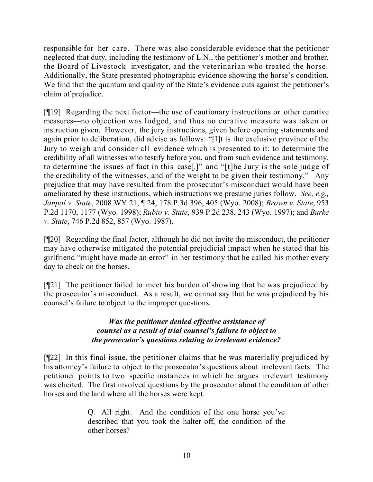responsible for her care. There was also considerable evidence that the petitioner neglected that duty, including the testimony of L.N., the petitioner's mother and brother, the Board of Livestock investigator, and the veterinarian who treated the horse. Additionally, the State presented photographic evidence showing the horse's condition. We find that the quantum and quality of the State's evidence cuts against the petitioner's claim of prejudice.

[¶19] Regarding the next factor―the use of cautionary instructions or other curative measures―no objection was lodged, and thus no curative measure was taken or instruction given. However, the jury instructions, given before opening statements and again prior to deliberation, did advise as follows: "[I]t is the exclusive province of the Jury to weigh and consider all evidence which is presented to it; to determine the credibility of all witnesses who testify before you, and from such evidence and testimony, to determine the issues of fact in this case[.]" and "[t]he Jury is the sole judge of the credibility of the witnesses, and of the weight to be given their testimony." Any prejudice that may have resulted from the prosecutor's misconduct would have been ameliorated by these instructions, which instructions we presume juries follow. *See, e.g., Janpol v. State*, 2008 WY 21, ¶ 24, 178 P.3d 396, 405 (Wyo. 2008); *Brown v. State*, 953 P.2d 1170, 1177 (Wyo. 1998); *Rubio v. State*, 939 P.2d 238, 243 (Wyo. 1997); and *Burke v. State*, 746 P.2d 852, 857 (Wyo. 1987).

[¶20] Regarding the final factor, although he did not invite the misconduct, the petitioner may have otherwise mitigated the potential prejudicial impact when he stated that his girlfriend "might have made an error" in her testimony that he called his mother every day to check on the horses.

[¶21] The petitioner failed to meet his burden of showing that he was prejudiced by the prosecutor's misconduct. As a result, we cannot say that he was prejudiced by his counsel's failure to object to the improper questions.

# *Was the petitioner denied effective assistance of counsel as a result of trial counsel's failure to object to the prosecutor's questions relating to irrelevant evidence?*

[¶22] In this final issue, the petitioner claims that he was materially prejudiced by his attorney's failure to object to the prosecutor's questions about irrelevant facts. The petitioner points to two specific instances in which he argues irrelevant testimony was elicited. The first involved questions by the prosecutor about the condition of other horses and the land where all the horses were kept.

> Q. All right. And the condition of the one horse you've described that you took the halter off, the condition of the other horses?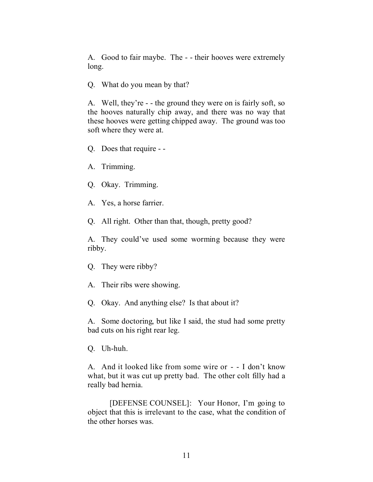A. Good to fair maybe. The - - their hooves were extremely long.

Q. What do you mean by that?

A. Well, they're - - the ground they were on is fairly soft, so the hooves naturally chip away, and there was no way that these hooves were getting chipped away. The ground was too soft where they were at.

Q. Does that require - -

A. Trimming.

Q. Okay. Trimming.

A. Yes, a horse farrier.

Q. All right. Other than that, though, pretty good?

A. They could've used some worming because they were ribby.

Q. They were ribby?

A. Their ribs were showing.

Q. Okay. And anything else? Is that about it?

A. Some doctoring, but like I said, the stud had some pretty bad cuts on his right rear leg.

Q. Uh-huh.

A. And it looked like from some wire or - - I don't know what, but it was cut up pretty bad. The other colt filly had a really bad hernia.

[DEFENSE COUNSEL]: Your Honor, I'm going to object that this is irrelevant to the case, what the condition of the other horses was.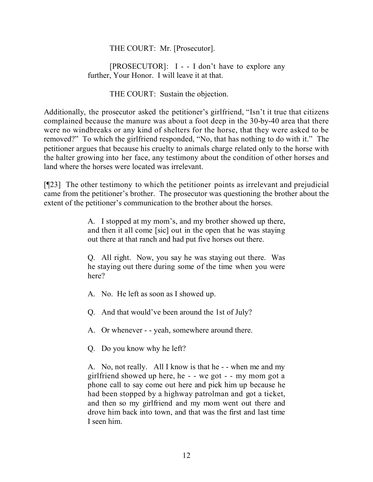# THE COURT: Mr. [Prosecutor].

[PROSECUTOR]: I - - I don't have to explore any further, Your Honor. I will leave it at that.

## THE COURT: Sustain the objection.

Additionally, the prosecutor asked the petitioner's girlfriend, "Isn't it true that citizens complained because the manure was about a foot deep in the 30-by-40 area that there were no windbreaks or any kind of shelters for the horse, that they were asked to be removed?" To which the girlfriend responded, "No, that has nothing to do with it." The petitioner argues that because his cruelty to animals charge related only to the horse with the halter growing into her face, any testimony about the condition of other horses and land where the horses were located was irrelevant.

[¶23] The other testimony to which the petitioner points as irrelevant and prejudicial came from the petitioner's brother. The prosecutor was questioning the brother about the extent of the petitioner's communication to the brother about the horses.

> A. I stopped at my mom's, and my brother showed up there, and then it all come [sic] out in the open that he was staying out there at that ranch and had put five horses out there.

> Q. All right. Now, you say he was staying out there. Was he staying out there during some of the time when you were here?

- A. No. He left as soon as I showed up.
- Q. And that would've been around the 1st of July?
- A. Or whenever - yeah, somewhere around there.
- Q. Do you know why he left?

A. No, not really. All I know is that he - - when me and my girlfriend showed up here, he - - we got - - my mom got a phone call to say come out here and pick him up because he had been stopped by a highway patrolman and got a ticket, and then so my girlfriend and my mom went out there and drove him back into town, and that was the first and last time I seen him.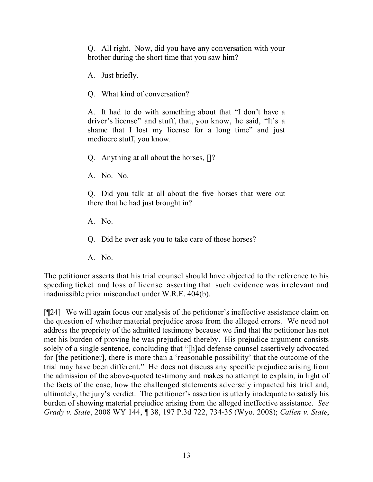Q. All right. Now, did you have any conversation with your brother during the short time that you saw him?

A. Just briefly.

Q. What kind of conversation?

A. It had to do with something about that "I don't have a driver's license" and stuff, that, you know, he said, "It's a shame that I lost my license for a long time" and just mediocre stuff, you know.

Q. Anything at all about the horses, []?

A. No. No.

Q. Did you talk at all about the five horses that were out there that he had just brought in?

A. No.

Q. Did he ever ask you to take care of those horses?

A. No.

The petitioner asserts that his trial counsel should have objected to the reference to his speeding ticket and loss of license asserting that such evidence was irrelevant and inadmissible prior misconduct under W.R.E. 404(b).

[¶24] We will again focus our analysis of the petitioner's ineffective assistance claim on the question of whether material prejudice arose from the alleged errors. We need not address the propriety of the admitted testimony because we find that the petitioner has not met his burden of proving he was prejudiced thereby. His prejudice argument consists solely of a single sentence, concluding that "[h]ad defense counsel assertively advocated for [the petitioner], there is more than a 'reasonable possibility' that the outcome of the trial may have been different." He does not discuss any specific prejudice arising from the admission of the above-quoted testimony and makes no attempt to explain, in light of the facts of the case, how the challenged statements adversely impacted his trial and, ultimately, the jury's verdict. The petitioner's assertion is utterly inadequate to satisfy his burden of showing material prejudice arising from the alleged ineffective assistance. *See Grady v. State*, 2008 WY 144, ¶ 38, 197 P.3d 722, 734-35 (Wyo. 2008); *Callen v. State*,